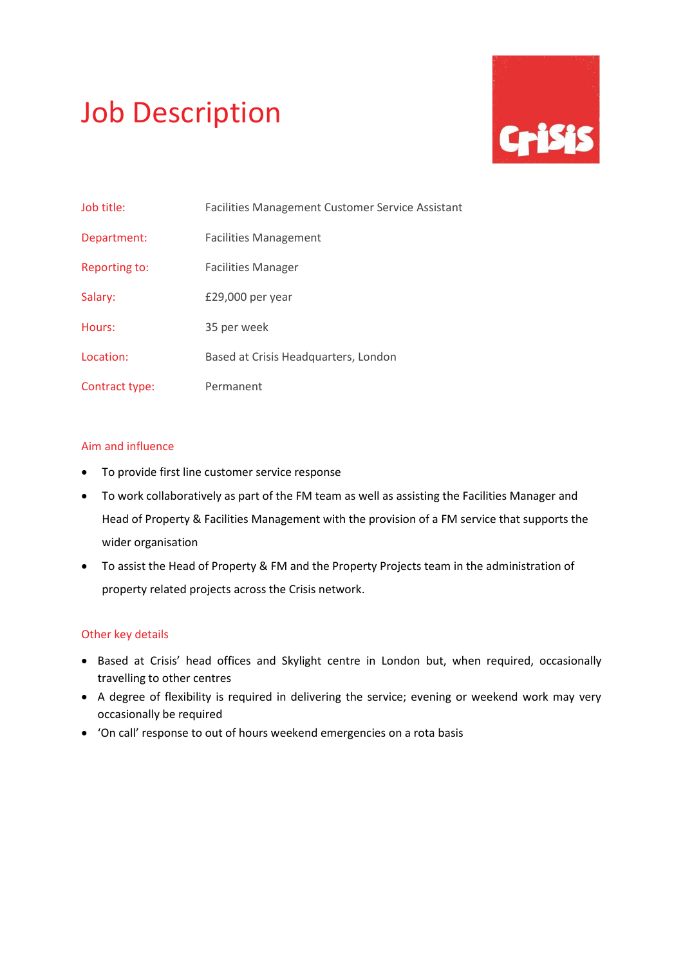# Job Description



| Job title:     | Facilities Management Customer Service Assistant |
|----------------|--------------------------------------------------|
| Department:    | <b>Facilities Management</b>                     |
| Reporting to:  | <b>Facilities Manager</b>                        |
| Salary:        | £29,000 per year                                 |
| Hours:         | 35 per week                                      |
| Location:      | Based at Crisis Headquarters, London             |
| Contract type: | Permanent                                        |

# Aim and influence

- To provide first line customer service response
- To work collaboratively as part of the FM team as well as assisting the Facilities Manager and Head of Property & Facilities Management with the provision of a FM service that supports the wider organisation
- To assist the Head of Property & FM and the Property Projects team in the administration of property related projects across the Crisis network.

# Other key details

- Based at Crisis' head offices and Skylight centre in London but, when required, occasionally travelling to other centres
- A degree of flexibility is required in delivering the service; evening or weekend work may very occasionally be required
- 'On call' response to out of hours weekend emergencies on a rota basis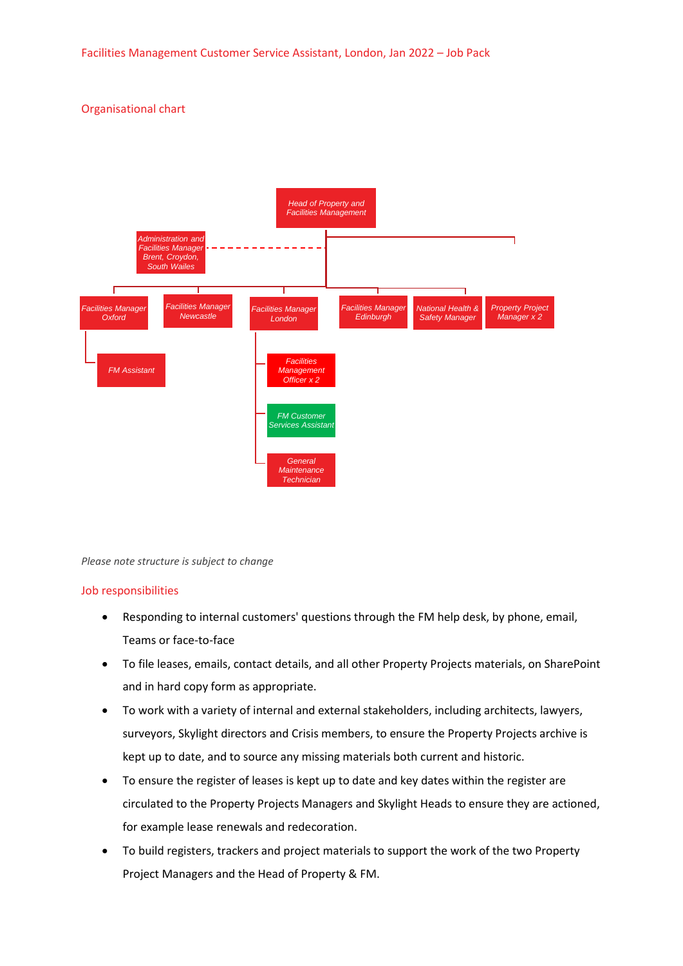# Organisational chart



*Please note structure is subject to change*

# Job responsibilities

- Responding to internal customers' questions through the FM help desk, by phone, email, Teams or face-to-face
- To file leases, emails, contact details, and all other Property Projects materials, on SharePoint and in hard copy form as appropriate.
- To work with a variety of internal and external stakeholders, including architects, lawyers, surveyors, Skylight directors and Crisis members, to ensure the Property Projects archive is kept up to date, and to source any missing materials both current and historic.
- To ensure the register of leases is kept up to date and key dates within the register are circulated to the Property Projects Managers and Skylight Heads to ensure they are actioned, for example lease renewals and redecoration.
- To build registers, trackers and project materials to support the work of the two Property Project Managers and the Head of Property & FM.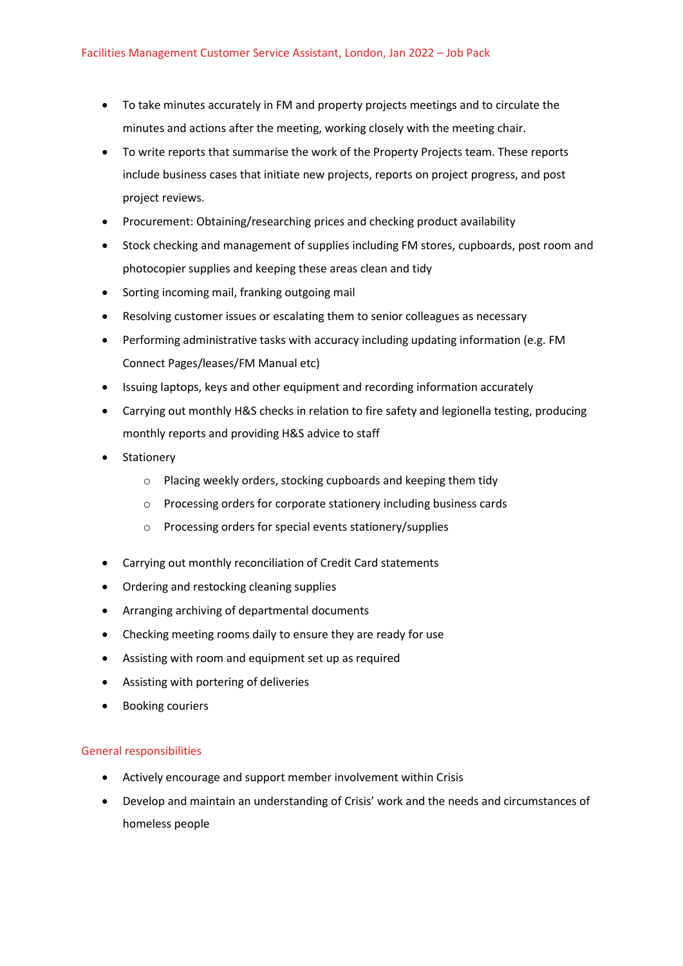- To take minutes accurately in FM and property projects meetings and to circulate the minutes and actions after the meeting, working closely with the meeting chair.
- To write reports that summarise the work of the Property Projects team. These reports include business cases that initiate new projects, reports on project progress, and post project reviews.
- Procurement: Obtaining/researching prices and checking product availability
- Stock checking and management of supplies including FM stores, cupboards, post room and photocopier supplies and keeping these areas clean and tidy
- Sorting incoming mail, franking outgoing mail
- Resolving customer issues or escalating them to senior colleagues as necessary
- Performing administrative tasks with accuracy including updating information (e.g. FM Connect Pages/leases/FM Manual etc)
- Issuing laptops, keys and other equipment and recording information accurately
- Carrying out monthly H&S checks in relation to fire safety and legionella testing, producing monthly reports and providing H&S advice to staff
- Stationery
	- o Placing weekly orders, stocking cupboards and keeping them tidy
	- o Processing orders for corporate stationery including business cards
	- o Processing orders for special events stationery/supplies
- Carrying out monthly reconciliation of Credit Card statements
- Ordering and restocking cleaning supplies
- Arranging archiving of departmental documents
- Checking meeting rooms daily to ensure they are ready for use
- Assisting with room and equipment set up as required
- Assisting with portering of deliveries
- Booking couriers

# General responsibilities

- Actively encourage and support member involvement within Crisis
- Develop and maintain an understanding of Crisis' work and the needs and circumstances of homeless people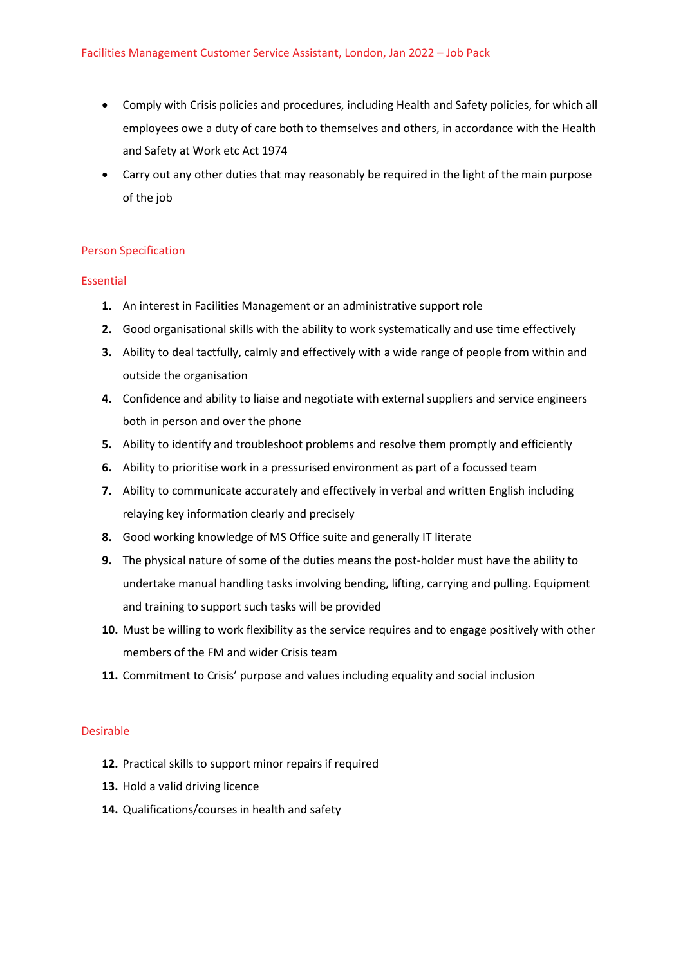- Comply with Crisis policies and procedures, including Health and Safety policies, for which all employees owe a duty of care both to themselves and others, in accordance with the Health and Safety at Work etc Act 1974
- Carry out any other duties that may reasonably be required in the light of the main purpose of the job

# Person Specification

# Essential

- **1.** An interest in Facilities Management or an administrative support role
- **2.** Good organisational skills with the ability to work systematically and use time effectively
- **3.** Ability to deal tactfully, calmly and effectively with a wide range of people from within and outside the organisation
- **4.** Confidence and ability to liaise and negotiate with external suppliers and service engineers both in person and over the phone
- **5.** Ability to identify and troubleshoot problems and resolve them promptly and efficiently
- **6.** Ability to prioritise work in a pressurised environment as part of a focussed team
- **7.** Ability to communicate accurately and effectively in verbal and written English including relaying key information clearly and precisely
- **8.** Good working knowledge of MS Office suite and generally IT literate
- **9.** The physical nature of some of the duties means the post-holder must have the ability to undertake manual handling tasks involving bending, lifting, carrying and pulling. Equipment and training to support such tasks will be provided
- **10.** Must be willing to work flexibility as the service requires and to engage positively with other members of the FM and wider Crisis team
- **11.** Commitment to Crisis' purpose and values including equality and social inclusion

# Desirable

- **12.** Practical skills to support minor repairs if required
- **13.** Hold a valid driving licence
- **14.** Qualifications/courses in health and safety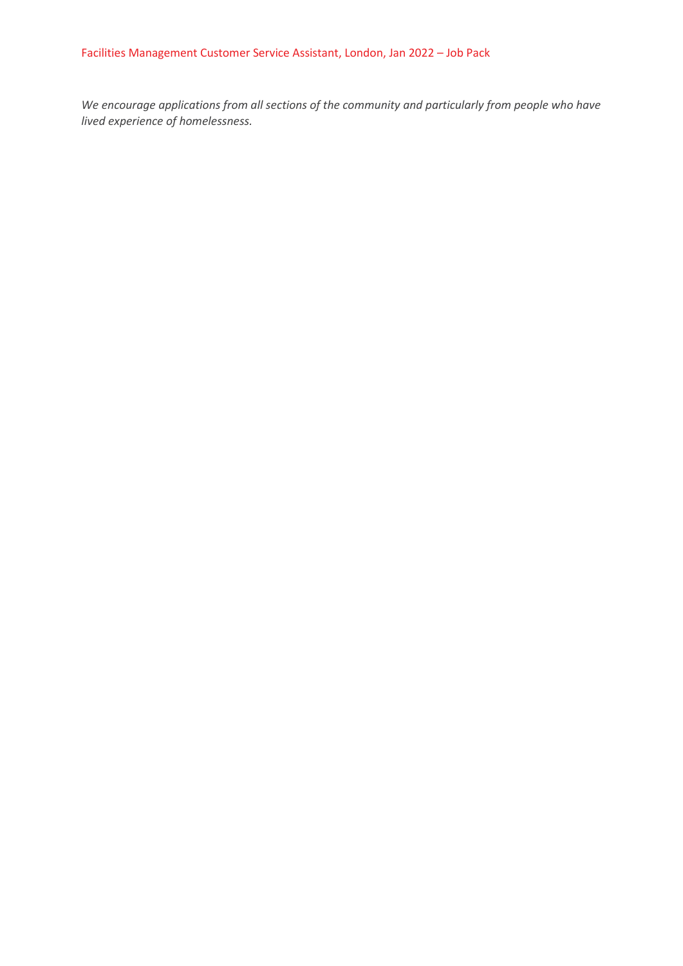*We encourage applications from all sections of the community and particularly from people who have lived experience of homelessness.*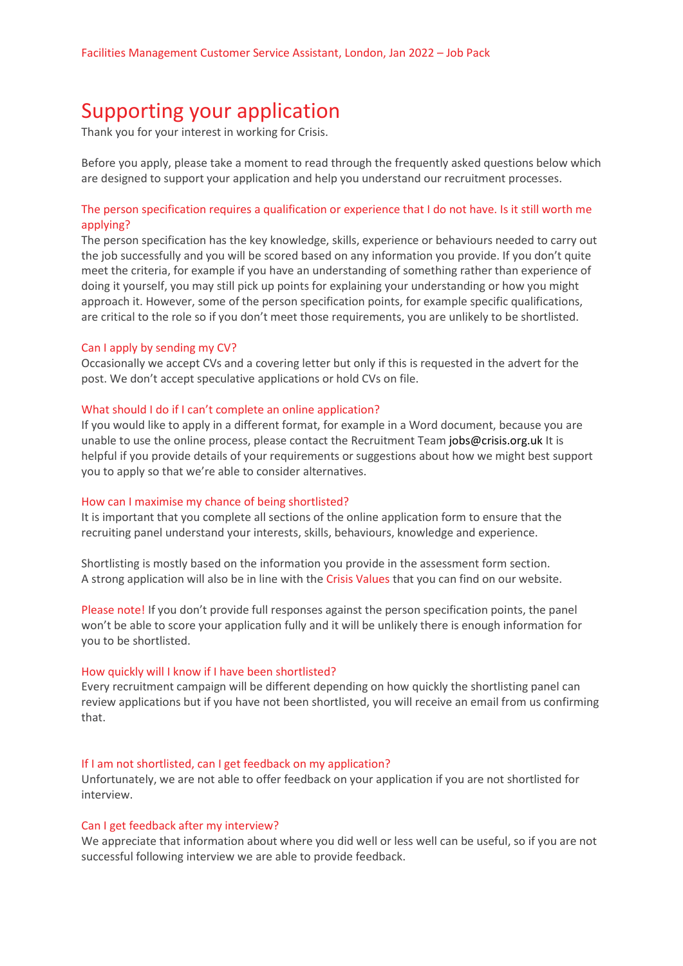# Supporting your application

Thank you for your interest in working for Crisis.

Before you apply, please take a moment to read through the frequently asked questions below which are designed to support your application and help you understand our recruitment processes.

# The person specification requires a qualification or experience that I do not have. Is it still worth me applying?

The person specification has the key knowledge, skills, experience or behaviours needed to carry out the job successfully and you will be scored based on any information you provide. If you don't quite meet the criteria, for example if you have an understanding of something rather than experience of doing it yourself, you may still pick up points for explaining your understanding or how you might approach it. However, some of the person specification points, for example specific qualifications, are critical to the role so if you don't meet those requirements, you are unlikely to be shortlisted.

#### Can I apply by sending my CV?

Occasionally we accept CVs and a covering letter but only if this is requested in the advert for the post. We don't accept speculative applications or hold CVs on file.

#### What should I do if I can't complete an online application?

If you would like to apply in a different format, for example in a Word document, because you are unable to use the online process, please contact the Recruitment Team [jobs@crisis.org.uk](http://#) It is helpful if you provide details of your requirements or suggestions about how we might best support you to apply so that we're able to consider alternatives.

#### How can I maximise my chance of being shortlisted?

It is important that you complete all sections of the online application form to ensure that the recruiting panel understand your interests, skills, behaviours, knowledge and experience.

Shortlisting is mostly based on the information you provide in the assessment form section. A strong application will also be in line with the Crisis Values that you can find on our website.

Please note! If you don't provide full responses against the person specification points, the panel won't be able to score your application fully and it will be unlikely there is enough information for you to be shortlisted.

#### How quickly will I know if I have been shortlisted?

Every recruitment campaign will be different depending on how quickly the shortlisting panel can review applications but if you have not been shortlisted, you will receive an email from us confirming that.

#### If I am not shortlisted, can I get feedback on my application?

Unfortunately, we are not able to offer feedback on your application if you are not shortlisted for interview.

#### Can I get feedback after my interview?

We appreciate that information about where you did well or less well can be useful, so if you are not successful following interview we are able to provide feedback.